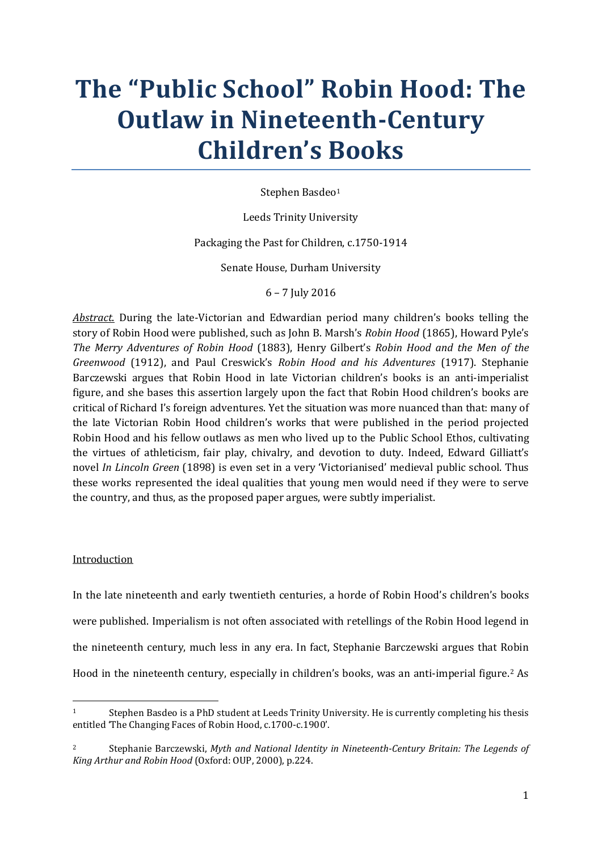# **The "Public School" Robin Hood: The Outlaw in Nineteenth-Century Children's Books**

Stephen Basdeo<sup>[1](#page-0-0)</sup>

Leeds Trinity University

Packaging the Past for Children, c.1750-1914

Senate House, Durham University

6 – 7 July 2016

*Abstract*. During the late-Victorian and Edwardian period many children's books telling the story of Robin Hood were published, such as John B. Marsh's *Robin Hood* (1865), Howard Pyle's *The Merry Adventures of Robin Hood* (1883), Henry Gilbert's *Robin Hood and the Men of the Greenwood* (1912), and Paul Creswick's *Robin Hood and his Adventures* (1917). Stephanie Barczewski argues that Robin Hood in late Victorian children's books is an anti-imperialist figure, and she bases this assertion largely upon the fact that Robin Hood children's books are critical of Richard I's foreign adventures. Yet the situation was more nuanced than that: many of the late Victorian Robin Hood children's works that were published in the period projected Robin Hood and his fellow outlaws as men who lived up to the Public School Ethos, cultivating the virtues of athleticism, fair play, chivalry, and devotion to duty. Indeed, Edward Gilliatt's novel *In Lincoln Green* (1898) is even set in a very 'Victorianised' medieval public school. Thus these works represented the ideal qualities that young men would need if they were to serve the country, and thus, as the proposed paper argues, were subtly imperialist.

## Introduction

**.** 

In the late nineteenth and early twentieth centuries, a horde of Robin Hood's children's books were published. Imperialism is not often associated with retellings of the Robin Hood legend in the nineteenth century, much less in any era. In fact, Stephanie Barczewski argues that Robin Hood in the nineteenth century, especially in children's books, was an anti-imperial figure.[2](#page-0-1) As

<span id="page-0-0"></span><sup>1</sup> Stephen Basdeo is a PhD student at Leeds Trinity University. He is currently completing his thesis entitled 'The Changing Faces of Robin Hood, c.1700-c.1900'.

<span id="page-0-1"></span><sup>2</sup> Stephanie Barczewski, *Myth and National Identity in Nineteenth-Century Britain: The Legends of King Arthur and Robin Hood* (Oxford: OUP, 2000), p.224.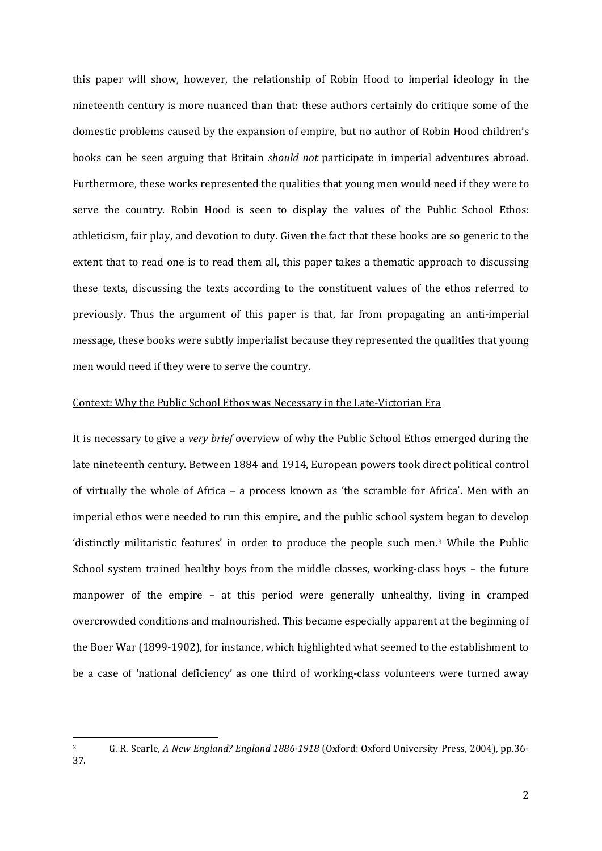this paper will show, however, the relationship of Robin Hood to imperial ideology in the nineteenth century is more nuanced than that: these authors certainly do critique some of the domestic problems caused by the expansion of empire, but no author of Robin Hood children's books can be seen arguing that Britain *should not* participate in imperial adventures abroad. Furthermore, these works represented the qualities that young men would need if they were to serve the country. Robin Hood is seen to display the values of the Public School Ethos: athleticism, fair play, and devotion to duty. Given the fact that these books are so generic to the extent that to read one is to read them all, this paper takes a thematic approach to discussing these texts, discussing the texts according to the constituent values of the ethos referred to previously. Thus the argument of this paper is that, far from propagating an anti-imperial message, these books were subtly imperialist because they represented the qualities that young men would need if they were to serve the country.

#### Context: Why the Public School Ethos was Necessary in the Late-Victorian Era

It is necessary to give a *very brief* overview of why the Public School Ethos emerged during the late nineteenth century. Between 1884 and 1914, European powers took direct political control of virtually the whole of Africa – a process known as 'the scramble for Africa'. Men with an imperial ethos were needed to run this empire, and the public school system began to develop 'distinctly militaristic features' in order to produce the people such men[.3](#page-1-0) While the Public School system trained healthy boys from the middle classes, working-class boys – the future manpower of the empire – at this period were generally unhealthy, living in cramped overcrowded conditions and malnourished. This became especially apparent at the beginning of the Boer War (1899-1902), for instance, which highlighted what seemed to the establishment to be a case of 'national deficiency' as one third of working-class volunteers were turned away

<span id="page-1-0"></span><sup>3</sup> G. R. Searle, *A New England? England 1886-1918* (Oxford: Oxford University Press, 2004), pp.36- 37.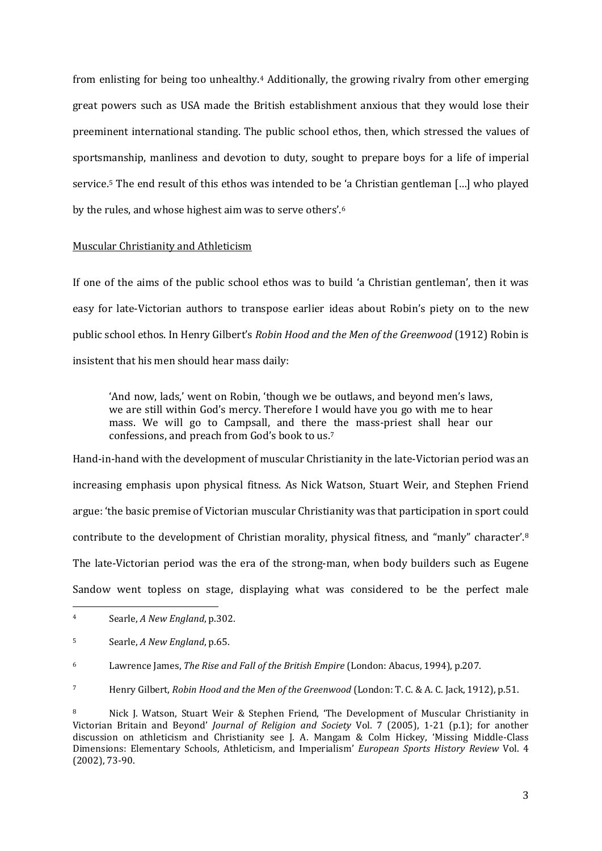from enlisting for being too unhealthy.[4](#page-2-0) Additionally, the growing rivalry from other emerging great powers such as USA made the British establishment anxious that they would lose their preeminent international standing. The public school ethos, then, which stressed the values of sportsmanship, manliness and devotion to duty, sought to prepare boys for a life of imperial service.[5](#page-2-1) The end result of this ethos was intended to be 'a Christian gentleman […] who played by the rules, and whose highest aim was to serve others'.[6](#page-2-2)

#### Muscular Christianity and Athleticism

If one of the aims of the public school ethos was to build 'a Christian gentleman', then it was easy for late-Victorian authors to transpose earlier ideas about Robin's piety on to the new public school ethos. In Henry Gilbert's *Robin Hood and the Men of the Greenwood* (1912) Robin is insistent that his men should hear mass daily:

'And now, lads,' went on Robin, 'though we be outlaws, and beyond men's laws, we are still within God's mercy. Therefore I would have you go with me to hear mass. We will go to Campsall, and there the mass-priest shall hear our confessions, and preach from God's book to us.[7](#page-2-3)

Hand-in-hand with the development of muscular Christianity in the late-Victorian period was an increasing emphasis upon physical fitness. As Nick Watson, Stuart Weir, and Stephen Friend argue: 'the basic premise of Victorian muscular Christianity was that participation in sport could contribute to the development of Christian morality, physical fitness, and "manly" character'.[8](#page-2-4) The late-Victorian period was the era of the strong-man, when body builders such as Eugene Sandow went topless on stage, displaying what was considered to be the perfect male

<span id="page-2-0"></span><sup>4</sup> Searle, *A New England*, p.302.

<span id="page-2-1"></span><sup>5</sup> Searle, *A New England*, p.65.

<span id="page-2-2"></span><sup>6</sup> Lawrence James, *The Rise and Fall of the British Empire* (London: Abacus, 1994), p.207.

<span id="page-2-3"></span><sup>7</sup> Henry Gilbert, *Robin Hood and the Men of the Greenwood* (London: T. C. & A. C. Jack, 1912), p.51.

<span id="page-2-4"></span><sup>8</sup> Nick J. Watson, Stuart Weir & Stephen Friend, 'The Development of Muscular Christianity in Victorian Britain and Beyond' *Journal of Religion and Society* Vol. 7 (2005), 1-21 (p.1); for another discussion on athleticism and Christianity see J. A. Mangam & Colm Hickey, 'Missing Middle-Class Dimensions: Elementary Schools, Athleticism, and Imperialism' *European Sports History Review* Vol. 4 (2002), 73-90.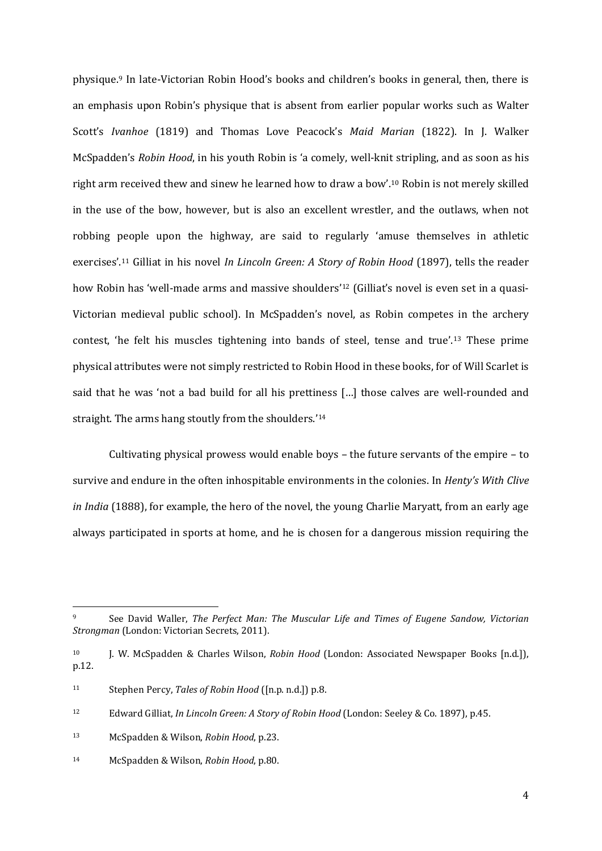physique.[9](#page-3-0) In late-Victorian Robin Hood's books and children's books in general, then, there is an emphasis upon Robin's physique that is absent from earlier popular works such as Walter Scott's *Ivanhoe* (1819) and Thomas Love Peacock's *Maid Marian* (1822). In J. Walker McSpadden's *Robin Hood*, in his youth Robin is 'a comely, well-knit stripling, and as soon as his right arm received thew and sinew he learned how to draw a bow'.[10](#page-3-1) Robin is not merely skilled in the use of the bow, however, but is also an excellent wrestler, and the outlaws, when not robbing people upon the highway, are said to regularly 'amuse themselves in athletic exercises'[.11](#page-3-2) Gilliat in his novel *In Lincoln Green: A Story of Robin Hood* (1897), tells the reader how Robin has 'well-made arms and massive shoulders'<sup>[12](#page-3-3)</sup> (Gilliat's novel is even set in a quasi-Victorian medieval public school). In McSpadden's novel, as Robin competes in the archery contest, 'he felt his muscles tightening into bands of steel, tense and true'.[13](#page-3-4) These prime physical attributes were not simply restricted to Robin Hood in these books, for of Will Scarlet is said that he was 'not a bad build for all his prettiness […] those calves are well-rounded and straight. The arms hang stoutly from the shoulders.'[14](#page-3-5)

Cultivating physical prowess would enable boys – the future servants of the empire – to survive and endure in the often inhospitable environments in the colonies. In *Henty's With Clive in India* (1888), for example, the hero of the novel, the young Charlie Maryatt, from an early age always participated in sports at home, and he is chosen for a dangerous mission requiring the

<span id="page-3-0"></span><sup>9</sup> See David Waller, *The Perfect Man: The Muscular Life and Times of Eugene Sandow, Victorian Strongman* (London: Victorian Secrets, 2011).

<span id="page-3-1"></span><sup>10</sup> J. W. McSpadden & Charles Wilson, *Robin Hood* (London: Associated Newspaper Books [n.d.]), p.12.

<span id="page-3-2"></span><sup>11</sup> Stephen Percy, *Tales of Robin Hood* ([n.p. n.d.]) p.8.

<span id="page-3-3"></span><sup>12</sup> Edward Gilliat, *In Lincoln Green: A Story of Robin Hood* (London: Seeley & Co. 1897), p.45.

<span id="page-3-4"></span><sup>13</sup> McSpadden & Wilson, *Robin Hood*, p.23.

<span id="page-3-5"></span><sup>14</sup> McSpadden & Wilson, *Robin Hood*, p.80.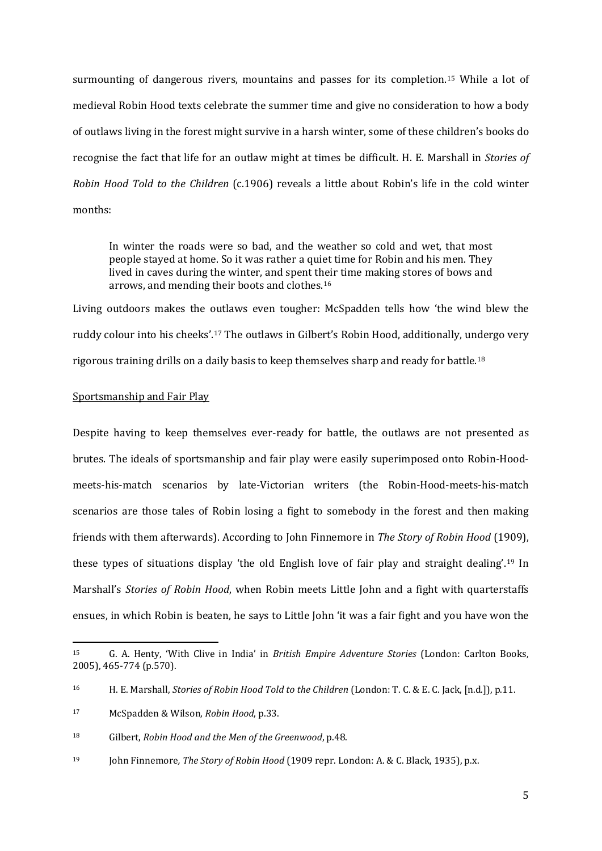surmounting of dangerous rivers, mountains and passes for its completion.[15](#page-4-0) While a lot of medieval Robin Hood texts celebrate the summer time and give no consideration to how a body of outlaws living in the forest might survive in a harsh winter, some of these children's books do recognise the fact that life for an outlaw might at times be difficult. H. E. Marshall in *Stories of Robin Hood Told to the Children* (c.1906) reveals a little about Robin's life in the cold winter months:

In winter the roads were so bad, and the weather so cold and wet, that most people stayed at home. So it was rather a quiet time for Robin and his men. They lived in caves during the winter, and spent their time making stores of bows and arrows, and mending their boots and clothes.[16](#page-4-1)

Living outdoors makes the outlaws even tougher: McSpadden tells how 'the wind blew the ruddy colour into his cheeks'.[17](#page-4-2) The outlaws in Gilbert's Robin Hood, additionally, undergo very rigorous training drills on a daily basis to keep themselves sharp and ready for battle[.18](#page-4-3)

## Sportsmanship and Fair Play

**.** 

Despite having to keep themselves ever-ready for battle, the outlaws are not presented as brutes. The ideals of sportsmanship and fair play were easily superimposed onto Robin-Hoodmeets-his-match scenarios by late-Victorian writers (the Robin-Hood-meets-his-match scenarios are those tales of Robin losing a fight to somebody in the forest and then making friends with them afterwards). According to John Finnemore in *The Story of Robin Hood* (1909), these types of situations display 'the old English love of fair play and straight dealing'.[19](#page-4-4) In Marshall's *Stories of Robin Hood*, when Robin meets Little John and a fight with quarterstaffs ensues, in which Robin is beaten, he says to Little John 'it was a fair fight and you have won the

<span id="page-4-0"></span><sup>15</sup> G. A. Henty, 'With Clive in India' in *British Empire Adventure Stories* (London: Carlton Books, 2005), 465-774 (p.570).

<span id="page-4-1"></span><sup>16</sup> H. E. Marshall, *Stories of Robin Hood Told to the Children* (London: T. C. & E. C. Jack, [n.d.]), p.11.

<span id="page-4-2"></span><sup>17</sup> McSpadden & Wilson, *Robin Hood*, p.33.

<span id="page-4-3"></span><sup>18</sup> Gilbert, *Robin Hood and the Men of the Greenwood*, p.48.

<span id="page-4-4"></span><sup>19</sup> John Finnemore*, The Story of Robin Hood* (1909 repr. London: A. & C. Black, 1935), p.x.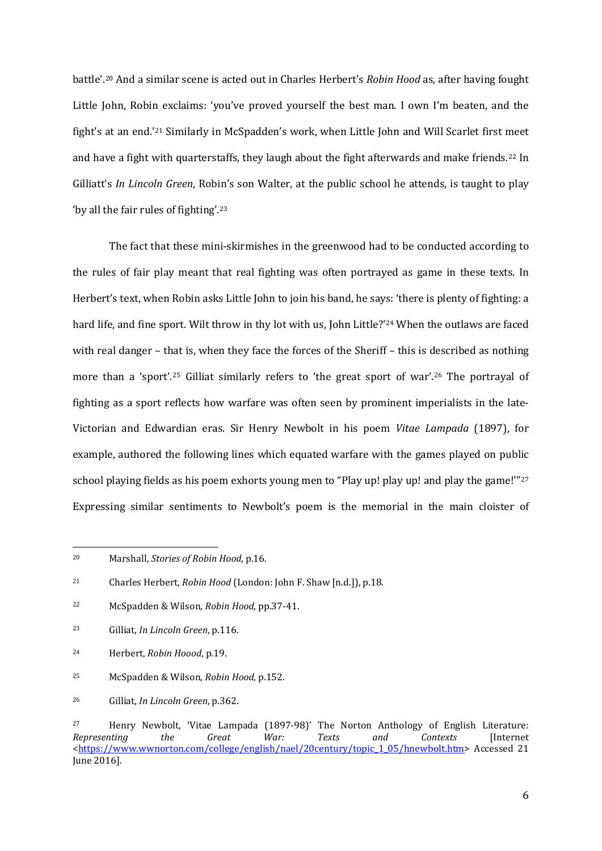battle'.[20](#page-5-0) And a similar scene is acted out in Charles Herbert's *Robin Hood* as, after having fought Little John, Robin exclaims: 'you've proved yourself the best man. I own I'm beaten, and the fight's at an end.'[21](#page-5-1) Similarly in McSpadden's work, when Little John and Will Scarlet first meet and have a fight with quarterstaffs, they laugh about the fight afterwards and make friends.[22](#page-5-2) In Gilliatt's *In Lincoln Green*, Robin's son Walter, at the public school he attends, is taught to play 'by all the fair rules of fighting'.[23](#page-5-3)

The fact that these mini-skirmishes in the greenwood had to be conducted according to the rules of fair play meant that real fighting was often portrayed as game in these texts. In Herbert's text, when Robin asks Little John to join his band, he says: 'there is plenty of fighting: a hard life, and fine sport. Wilt throw in thy lot with us, John Little?'<sup>[24](#page-5-4)</sup> When the outlaws are faced with real danger – that is, when they face the forces of the Sheriff – this is described as nothing more than a 'sport'.[25](#page-5-5) Gilliat similarly refers to 'the great sport of war'[.26](#page-5-6) The portrayal of fighting as a sport reflects how warfare was often seen by prominent imperialists in the late-Victorian and Edwardian eras. Sir Henry Newbolt in his poem *Vitae Lampada* (1897), for example, authored the following lines which equated warfare with the games played on public school playing fields as his poem exhorts young men to "Play up! play up! and play the game!"<sup>[27](#page-5-7)</sup> Expressing similar sentiments to Newbolt's poem is the memorial in the main cloister of

 $\overline{a}$ 

<span id="page-5-0"></span><sup>20</sup> Marshall, *Stories of Robin Hood*, p.16.

<span id="page-5-1"></span><sup>21</sup> Charles Herbert, *Robin Hood* (London: John F. Shaw [n.d.]), p.18.

<span id="page-5-2"></span><sup>22</sup> McSpadden & Wilson, *Robin Hood*, pp.37-41.

<span id="page-5-3"></span><sup>23</sup> Gilliat, *In Lincoln Green*, p.116.

<span id="page-5-4"></span><sup>24</sup> Herbert, *Robin Hoood*, p.19.

<span id="page-5-5"></span><sup>25</sup> McSpadden & Wilson, *Robin Hood*, p.152.

<span id="page-5-6"></span><sup>26</sup> Gilliat, *In Lincoln Green*, p.362.

<span id="page-5-7"></span><sup>&</sup>lt;sup>27</sup> Henry Newbolt, 'Vitae Lampada (1897-98)' The Norton Anthology of English Literature:<br>Representing the Great War: Texts and Contexts IInternet *Representing the Great War: Texts and Contexts* [Internet [<https://www.wwnorton.com/college/english/nael/20century/topic\\_1\\_05/hnewbolt.htm>](https://www.wwnorton.com/college/english/nael/20century/topic_1_05/hnewbolt.htm) Accessed 21 June 2016].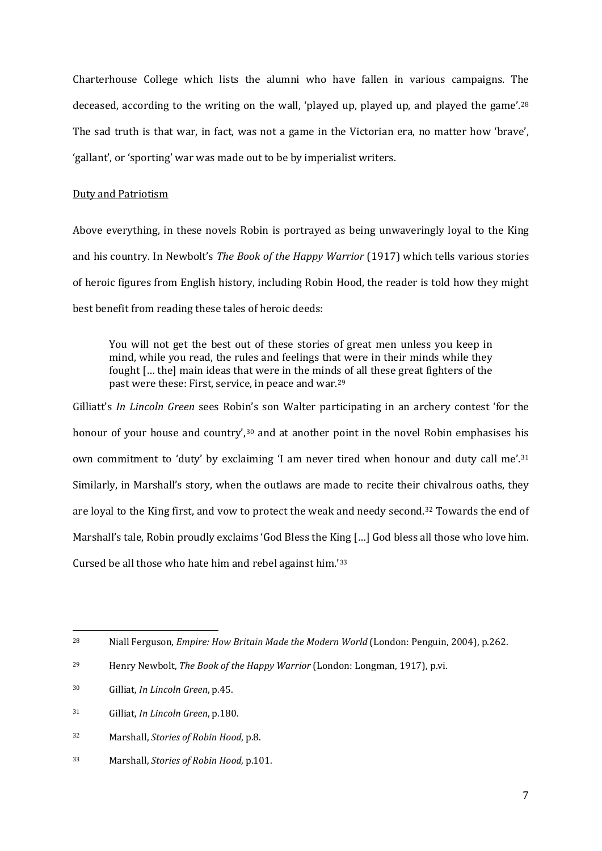Charterhouse College which lists the alumni who have fallen in various campaigns. The deceased, according to the writing on the wall, 'played up, played up, and played the game'.<sup>[28](#page-6-0)</sup> The sad truth is that war, in fact, was not a game in the Victorian era, no matter how 'brave', 'gallant', or 'sporting' war was made out to be by imperialist writers.

#### Duty and Patriotism

Above everything, in these novels Robin is portrayed as being unwaveringly loyal to the King and his country. In Newbolt's *The Book of the Happy Warrior* (1917) which tells various stories of heroic figures from English history, including Robin Hood, the reader is told how they might best benefit from reading these tales of heroic deeds:

You will not get the best out of these stories of great men unless you keep in mind, while you read, the rules and feelings that were in their minds while they fought [… the] main ideas that were in the minds of all these great fighters of the past were these: First, service, in peace and war.[29](#page-6-1)

Gilliatt's *In Lincoln Green* sees Robin's son Walter participating in an archery contest 'for the honour of your house and country',<sup>[30](#page-6-2)</sup> and at another point in the novel Robin emphasises his own commitment to 'duty' by exclaiming 'I am never tired when honour and duty call me'.[31](#page-6-3) Similarly, in Marshall's story, when the outlaws are made to recite their chivalrous oaths, they are loyal to the King first, and vow to protect the weak and needy second.[32](#page-6-4) Towards the end of Marshall's tale, Robin proudly exclaims 'God Bless the King […] God bless all those who love him. Cursed be all those who hate him and rebel against him.'[33](#page-6-5)

<span id="page-6-0"></span><sup>28</sup> Niall Ferguson, *Empire: How Britain Made the Modern World* (London: Penguin, 2004), p.262.

<span id="page-6-1"></span><sup>29</sup> Henry Newbolt, *The Book of the Happy Warrior* (London: Longman, 1917), p.vi.

<span id="page-6-2"></span><sup>30</sup> Gilliat, *In Lincoln Green*, p.45.

<span id="page-6-3"></span><sup>31</sup> Gilliat, *In Lincoln Green*, p.180.

<span id="page-6-4"></span><sup>32</sup> Marshall, *Stories of Robin Hood*, p.8.

<span id="page-6-5"></span><sup>33</sup> Marshall, *Stories of Robin Hood*, p.101.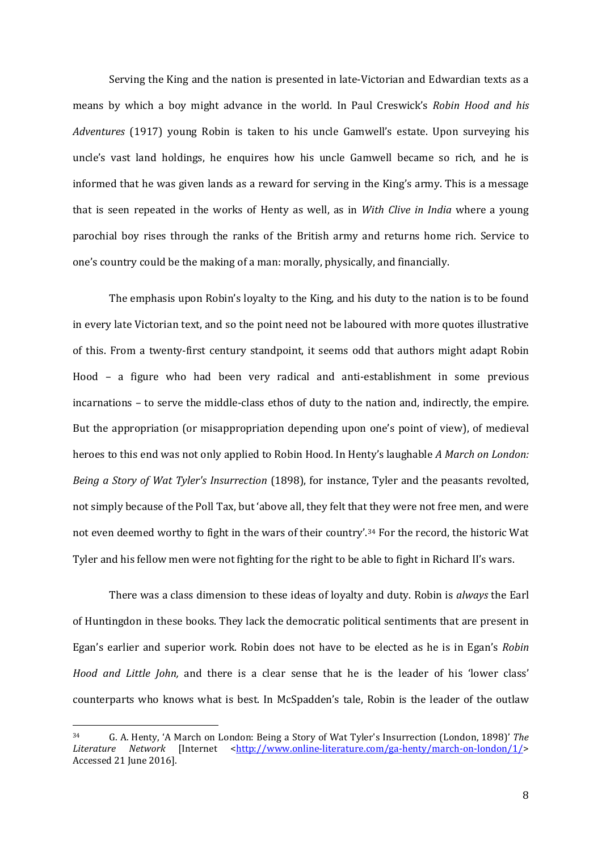Serving the King and the nation is presented in late-Victorian and Edwardian texts as a means by which a boy might advance in the world. In Paul Creswick's *Robin Hood and his Adventures* (1917) young Robin is taken to his uncle Gamwell's estate. Upon surveying his uncle's vast land holdings, he enquires how his uncle Gamwell became so rich, and he is informed that he was given lands as a reward for serving in the King's army. This is a message that is seen repeated in the works of Henty as well, as in *With Clive in India* where a young parochial boy rises through the ranks of the British army and returns home rich. Service to one's country could be the making of a man: morally, physically, and financially.

The emphasis upon Robin's loyalty to the King, and his duty to the nation is to be found in every late Victorian text, and so the point need not be laboured with more quotes illustrative of this. From a twenty-first century standpoint, it seems odd that authors might adapt Robin Hood – a figure who had been very radical and anti-establishment in some previous incarnations – to serve the middle-class ethos of duty to the nation and, indirectly, the empire. But the appropriation (or misappropriation depending upon one's point of view), of medieval heroes to this end was not only applied to Robin Hood. In Henty's laughable *A March on London: Being a Story of Wat Tyler's Insurrection* (1898), for instance, Tyler and the peasants revolted, not simply because of the Poll Tax, but 'above all, they felt that they were not free men, and were not even deemed worthy to fight in the wars of their country'.[34](#page-7-0) For the record, the historic Wat Tyler and his fellow men were not fighting for the right to be able to fight in Richard II's wars.

There was a class dimension to these ideas of loyalty and duty. Robin is *always* the Earl of Huntingdon in these books. They lack the democratic political sentiments that are present in Egan's earlier and superior work. Robin does not have to be elected as he is in Egan's *Robin Hood and Little John,* and there is a clear sense that he is the leader of his 'lower class' counterparts who knows what is best. In McSpadden's tale, Robin is the leader of the outlaw

<span id="page-7-0"></span><sup>34</sup> G. A. Henty, 'A March on London: Being a Story of Wat Tyler's Insurrection (London, 1898)' *The Literature Network* [Internet [<http://www.online-literature.com/ga-henty/march-on-london/1/>](http://www.online-literature.com/ga-henty/march-on-london/1/) Accessed 21 June 2016].